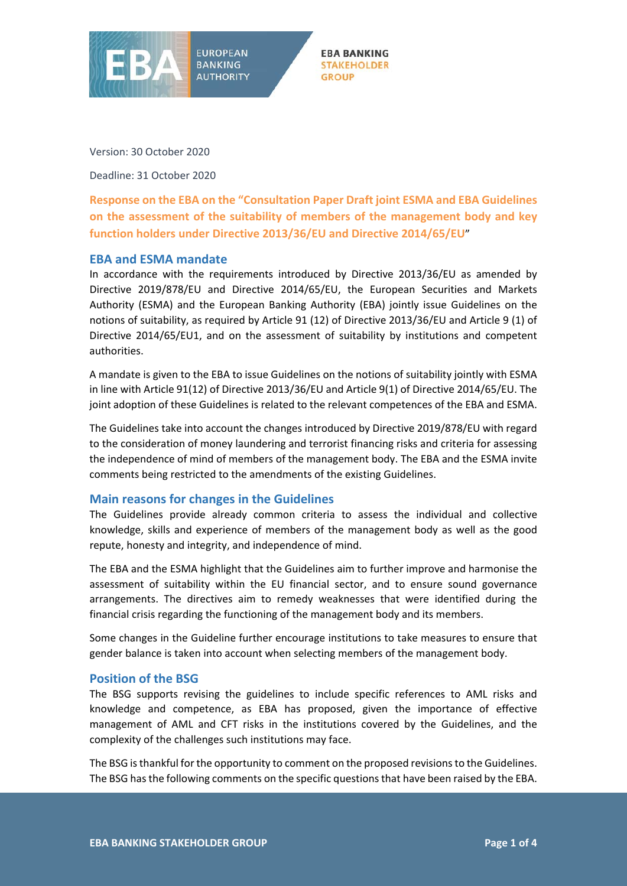



Version: 30 October 2020

Deadline: 31 October 2020

**Response on the EBA on the "Consultation Paper Draft joint ESMA and EBA Guidelines on the assessment of the suitability of members of the management body and key function holders under Directive 2013/36/EU and Directive 2014/65/EU**"

## **EBA and ESMA mandate**

In accordance with the requirements introduced by Directive 2013/36/EU as amended by Directive 2019/878/EU and Directive 2014/65/EU, the European Securities and Markets Authority (ESMA) and the European Banking Authority (EBA) jointly issue Guidelines on the notions of suitability, as required by Article 91 (12) of Directive 2013/36/EU and Article 9 (1) of Directive 2014/65/EU1, and on the assessment of suitability by institutions and competent authorities.

A mandate is given to the EBA to issue Guidelines on the notions of suitability jointly with ESMA in line with Article 91(12) of Directive 2013/36/EU and Article 9(1) of Directive 2014/65/EU. The joint adoption of these Guidelines is related to the relevant competences of the EBA and ESMA.

The Guidelines take into account the changes introduced by Directive 2019/878/EU with regard to the consideration of money laundering and terrorist financing risks and criteria for assessing the independence of mind of members of the management body. The EBA and the ESMA invite comments being restricted to the amendments of the existing Guidelines.

## **Main reasons for changes in the Guidelines**

The Guidelines provide already common criteria to assess the individual and collective knowledge, skills and experience of members of the management body as well as the good repute, honesty and integrity, and independence of mind.

The EBA and the ESMA highlight that the Guidelines aim to further improve and harmonise the assessment of suitability within the EU financial sector, and to ensure sound governance arrangements. The directives aim to remedy weaknesses that were identified during the financial crisis regarding the functioning of the management body and its members.

Some changes in the Guideline further encourage institutions to take measures to ensure that gender balance is taken into account when selecting members of the management body.

## **Position of the BSG**

The BSG supports revising the guidelines to include specific references to AML risks and knowledge and competence, as EBA has proposed, given the importance of effective management of AML and CFT risks in the institutions covered by the Guidelines, and the complexity of the challenges such institutions may face.

The BSG is thankful for the opportunity to comment on the proposed revisions to the Guidelines. The BSG has the following comments on the specific questions that have been raised by the EBA.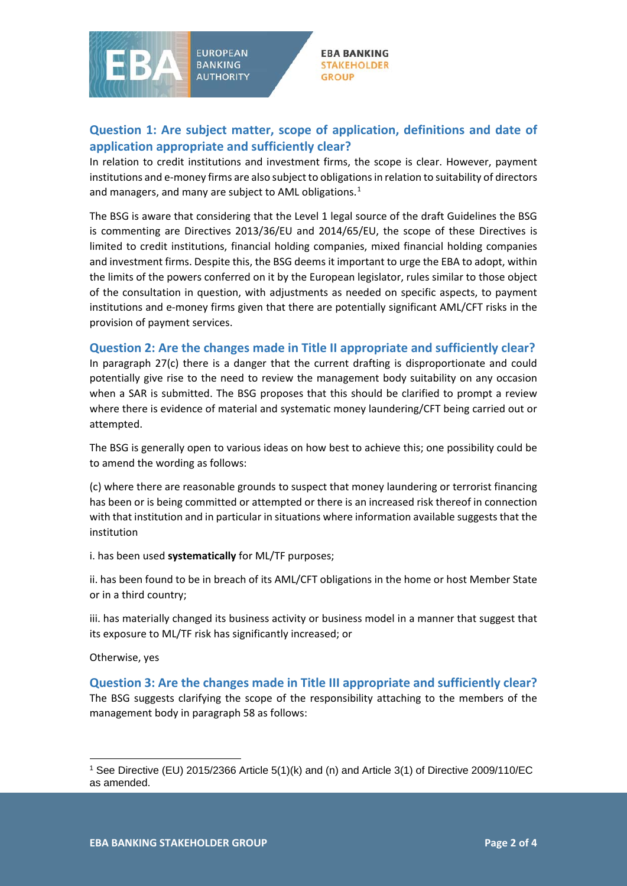

**EBA BANKING STAKEHOLDER GROUP** 

## **Question 1: Are subject matter, scope of application, definitions and date of application appropriate and sufficiently clear?**

In relation to credit institutions and investment firms, the scope is clear. However, payment institutions and e-money firms are also subject to obligations in relation to suitability of directors and managers, and many are subject to AML obligations. $1$ 

The BSG is aware that considering that the Level 1 legal source of the draft Guidelines the BSG is commenting are Directives 2013/36/EU and 2014/65/EU, the scope of these Directives is limited to credit institutions, financial holding companies, mixed financial holding companies and investment firms. Despite this, the BSG deems it important to urge the EBA to adopt, within the limits of the powers conferred on it by the European legislator, rules similar to those object of the consultation in question, with adjustments as needed on specific aspects, to payment institutions and e-money firms given that there are potentially significant AML/CFT risks in the provision of payment services.

## **Question 2: Are the changes made in Title II appropriate and sufficiently clear?**

In paragraph 27(c) there is a danger that the current drafting is disproportionate and could potentially give rise to the need to review the management body suitability on any occasion when a SAR is submitted. The BSG proposes that this should be clarified to prompt a review where there is evidence of material and systematic money laundering/CFT being carried out or attempted.

The BSG is generally open to various ideas on how best to achieve this; one possibility could be to amend the wording as follows:

(c) where there are reasonable grounds to suspect that money laundering or terrorist financing has been or is being committed or attempted or there is an increased risk thereof in connection with that institution and in particular in situations where information available suggests that the institution

i. has been used **systematically** for ML/TF purposes;

ii. has been found to be in breach of its AML/CFT obligations in the home or host Member State or in a third country;

iii. has materially changed its business activity or business model in a manner that suggest that its exposure to ML/TF risk has significantly increased; or

Otherwise, yes

 $\overline{\phantom{a}}$ 

**Question 3: Are the changes made in Title III appropriate and sufficiently clear?** The BSG suggests clarifying the scope of the responsibility attaching to the members of the management body in paragraph 58 as follows:

<span id="page-1-0"></span><sup>1</sup> See Directive (EU) 2015/2366 Article 5(1)(k) and (n) and Article 3(1) of Directive 2009/110/EC as amended.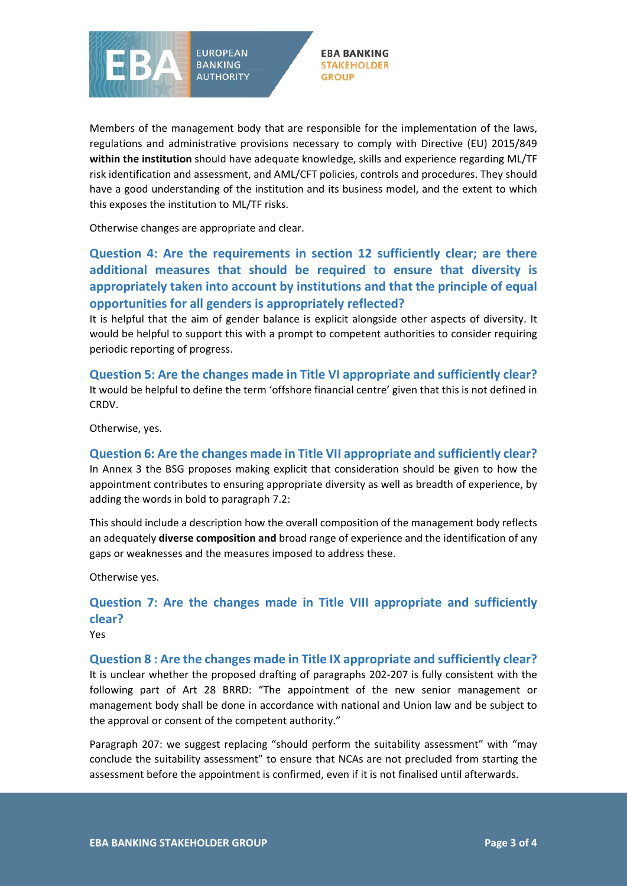

**EBA BANKING STAKEHOLDER GROUP** 

Members of the management body that are responsible for the implementation of the laws, regulations and administrative provisions necessary to comply with Directive (EU) 2015/849 **within the institution** should have adequate knowledge, skills and experience regarding ML/TF risk identification and assessment, and AML/CFT policies, controls and procedures. They should have a good understanding of the institution and its business model, and the extent to which this exposes the institution to ML/TF risks.

Otherwise changes are appropriate and clear.

**Question 4: Are the requirements in section 12 sufficiently clear; are there additional measures that should be required to ensure that diversity is appropriately taken into account by institutions and that the principle of equal opportunities for all genders is appropriately reflected?**

It is helpful that the aim of gender balance is explicit alongside other aspects of diversity. It would be helpful to support this with a prompt to competent authorities to consider requiring periodic reporting of progress.

**Question 5: Are the changes made in Title VI appropriate and sufficiently clear?** It would be helpful to define the term 'offshore financial centre' given that this is not defined in CRDV.

Otherwise, yes.

## **Question 6: Are the changes made in Title VII appropriate and sufficiently clear?**

In Annex 3 the BSG proposes making explicit that consideration should be given to how the appointment contributes to ensuring appropriate diversity as well as breadth of experience, by adding the words in bold to paragraph 7.2:

This should include a description how the overall composition of the management body reflects an adequately **diverse composition and** broad range of experience and the identification of any gaps or weaknesses and the measures imposed to address these.

Otherwise yes.

# **Question 7: Are the changes made in Title VIII appropriate and sufficiently clear?**

Yes

## **Question 8 : Are the changes made in Title IX appropriate and sufficiently clear?**

It is unclear whether the proposed drafting of paragraphs 202-207 is fully consistent with the following part of Art 28 BRRD: "The appointment of the new senior management or management body shall be done in accordance with national and Union law and be subject to the approval or consent of the competent authority."

Paragraph 207: we suggest replacing "should perform the suitability assessment" with "may conclude the suitability assessment" to ensure that NCAs are not precluded from starting the assessment before the appointment is confirmed, even if it is not finalised until afterwards.